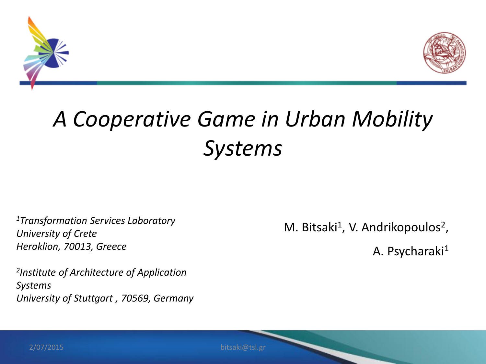



#### *A Cooperative Game in Urban Mobility Systems*

*<sup>1</sup>Transformation Services Laboratory University of Crete Heraklion, 70013, Greece*

*2 Institute of Architecture of Application Systems University of Stuttgart , 70569, Germany*  M. Bitsaki<sup>1</sup>, V. Andrikopoulos<sup>2</sup>,

A. Psycharaki<sup>1</sup>

2/07/2015

bitsaki@tsl.gr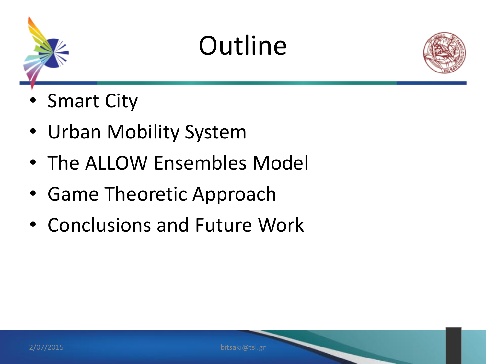

### **Outline**



- Smart City
- Urban Mobility System
- The ALLOW Ensembles Model
- Game Theoretic Approach
- Conclusions and Future Work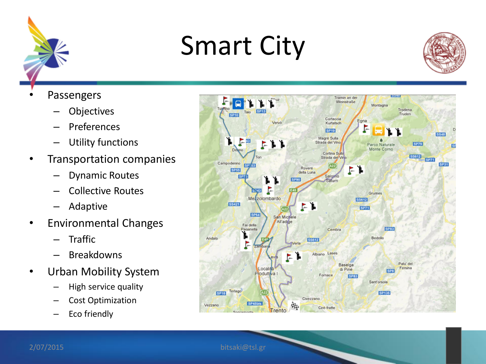

### Smart City



- **Passengers** 
	- **Objectives**
	- Preferences
	- Utility functions
- Transportation companies
	- Dynamic Routes
	- Collective Routes
	- Adaptive
- Environmental Changes
	- Traffic
	- **Breakdowns**
- Urban Mobility System
	- High service quality
	- Cost Optimization
	- Eco friendly

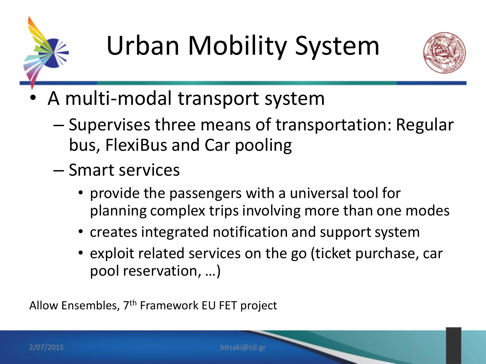



- A multi-modal transport system
	- Supervises three means of transportation: Regular bus, FlexiBus and Car pooling
	- Smart services
		- provide the passengers with a universal tool for planning complex trips involving more than one modes
		- creates integrated notification and support system
		- exploit related services on the go (ticket purchase, car pool reservation, …)

Allow Ensembles, 7th Framework EU FET project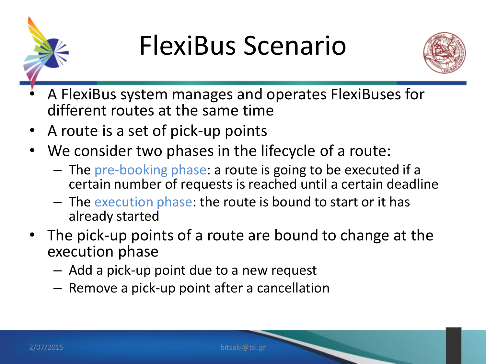

#### FlexiBus Scenario



- A FlexiBus system manages and operates FlexiBuses for different routes at the same time
- A route is a set of pick-up points
- We consider two phases in the lifecycle of a route:
	- The pre-booking phase: a route is going to be executed if a certain number of requests is reached until a certain deadline
	- The execution phase: the route is bound to start or it has already started
- The pick-up points of a route are bound to change at the execution phase
	- Add a pick-up point due to a new request
	- Remove a pick-up point after a cancellation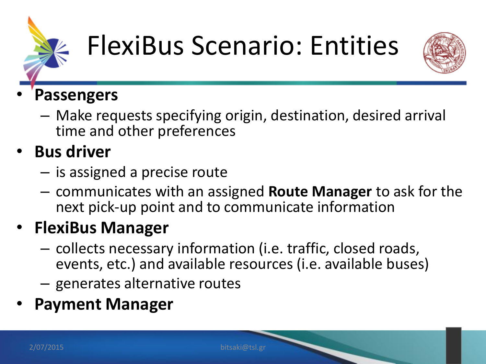

### FlexiBus Scenario: Entities



#### • **Passengers**

– Make requests specifying origin, destination, desired arrival time and other preferences

#### • **Bus driver**

- is assigned a precise route
- communicates with an assigned **Route Manager** to ask for the next pick-up point and to communicate information

#### • **FlexiBus Manager**

- collects necessary information (i.e. traffic, closed roads, events, etc.) and available resources (i.e. available buses)
- generates alternative routes
- **Payment Manager**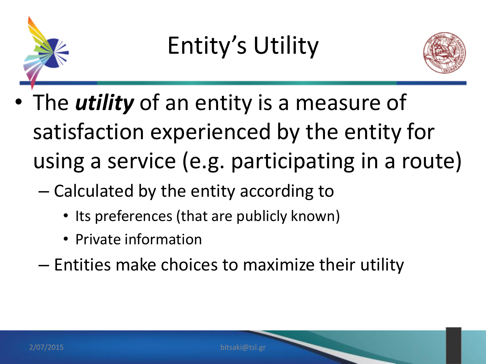

#### Entity's Utility



- The *utility* of an entity is a measure of satisfaction experienced by the entity for using a service (e.g. participating in a route)
	- Calculated by the entity according to
		- Its preferences (that are publicly known)
		- Private information
	- Entities make choices to maximize their utility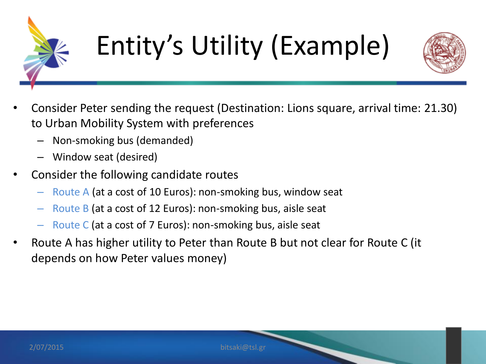

# Entity's Utility (Example)



- Consider Peter sending the request (Destination: Lions square, arrival time: 21.30) to Urban Mobility System with preferences
	- Non-smoking bus (demanded)
	- Window seat (desired)
- Consider the following candidate routes
	- Route A (at a cost of 10 Euros): non-smoking bus, window seat
	- Route B (at a cost of 12 Euros): non-smoking bus, aisle seat
	- Route C (at a cost of 7 Euros): non-smoking bus, aisle seat
- Route A has higher utility to Peter than Route B but not clear for Route C (it depends on how Peter values money)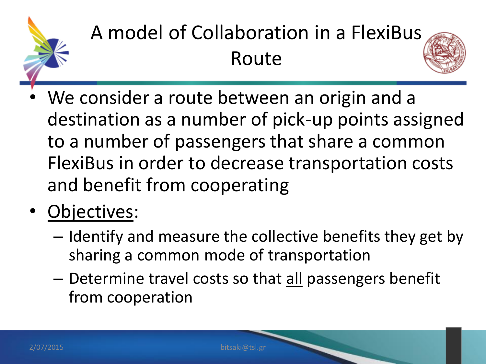

#### A model of Collaboration in a FlexiBus Route



- We consider a route between an origin and a destination as a number of pick-up points assigned to a number of passengers that share a common FlexiBus in order to decrease transportation costs and benefit from cooperating
- Objectives:
	- Identify and measure the collective benefits they get by sharing a common mode of transportation
	- Determine travel costs so that all passengers benefit from cooperation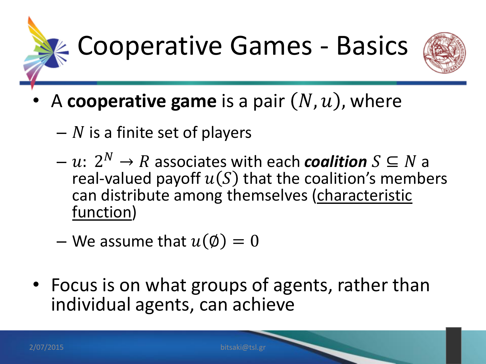



- A **cooperative game** is a pair  $(N, u)$ , where
	- $-$  N is a finite set of players
	- $u: 2^N \to R$  associates with each **coalition**  $S \subseteq N$  a real-valued payoff  $u(S)$  that the coalition's members can distribute among themselves (characteristic function)
	- We assume that  $u(\emptyset) = 0$
- Focus is on what groups of agents, rather than individual agents, can achieve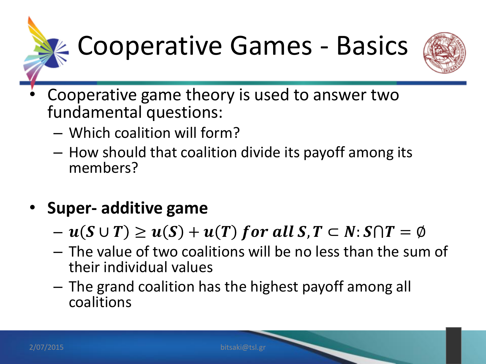



- Cooperative game theory is used to answer two fundamental questions:
	- Which coalition will form?
	- How should that coalition divide its payoff among its members?
- **Super- additive game**
	- $u(S \cup T) \geq u(S) + u(T)$  for all  $S, T \subset N: S \cap T = \emptyset$
	- The value of two coalitions will be no less than the sum of their individual values
	- The grand coalition has the highest payoff among all coalitions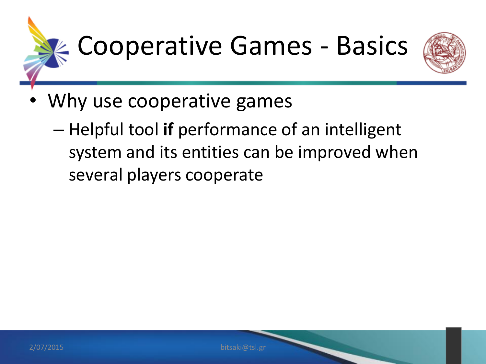

- Why use cooperative games
	- Helpful tool **if** performance of an intelligent system and its entities can be improved when several players cooperate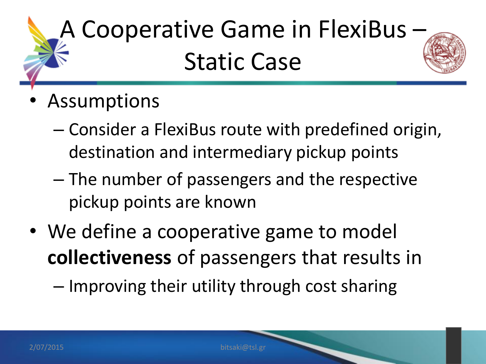

- **Assumptions** 
	- Consider a FlexiBus route with predefined origin, destination and intermediary pickup points
	- The number of passengers and the respective pickup points are known
- We define a cooperative game to model **collectiveness** of passengers that results in

– Improving their utility through cost sharing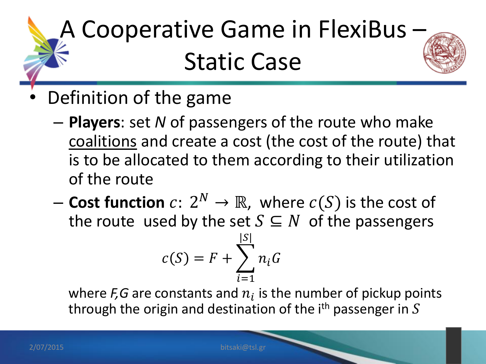

- Definition of the game
	- **Players**: set *N* of passengers of the route who make coalitions and create a cost (the cost of the route) that is to be allocated to them according to their utilization of the route
	- $-$  Cost function  $c\colon 2^N\to\mathbb{R}$ , where  $c(S)$  is the cost of the route used by the set  $S \subseteq N$  of the passengers

$$
c(S) = F + \sum_{i=1}^{|S|} n_i G
$$

where  $F, G$  are constants and  $n_i$  is the number of pickup points through the origin and destination of the i<sup>th</sup> passenger in  $S$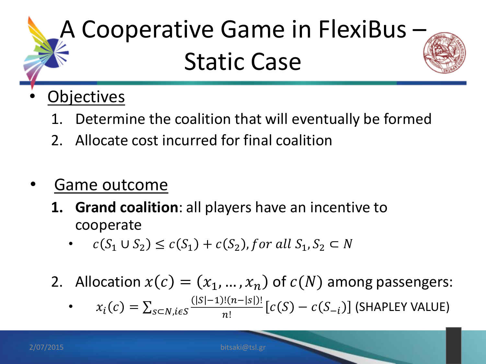

#### **Objectives**

- 1. Determine the coalition that will eventually be formed
- 2. Allocate cost incurred for final coalition
- Game outcome
	- **1. Grand coalition**: all players have an incentive to cooperate
		- $c(S_1 \cup S_2) \leq c(S_1) + c(S_2)$ , for all  $S_1, S_2 \subset N$
	- 2. Allocation  $x(c) = (x_1, ..., x_n)$  of  $c(N)$  among passengers:
		- $x_i(c) = \sum_{s \subset N, i \in S} \frac{(|s|-1)!(n-|s|)!}{n!}$  $\frac{n!(n-|S|)!}{n!} [c(S) - c(S_{-i})]$  (SHAPLEY VALUE)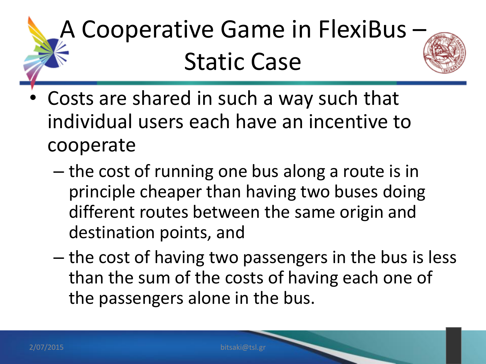

- Costs are shared in such a way such that individual users each have an incentive to cooperate
	- the cost of running one bus along a route is in principle cheaper than having two buses doing different routes between the same origin and destination points, and
	- the cost of having two passengers in the bus is less than the sum of the costs of having each one of the passengers alone in the bus.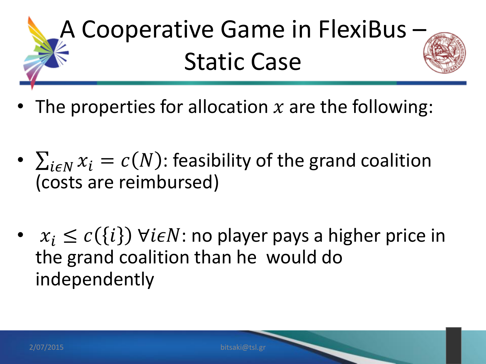- The properties for allocation  $x$  are the following:
- $\sum_{i \in N} x_i = c(N)$ : feasibility of the grand coalition (costs are reimbursed)
- $x_i \leq c(\{i\})$   $\forall i \in N$ : no player pays a higher price in the grand coalition than he would do independently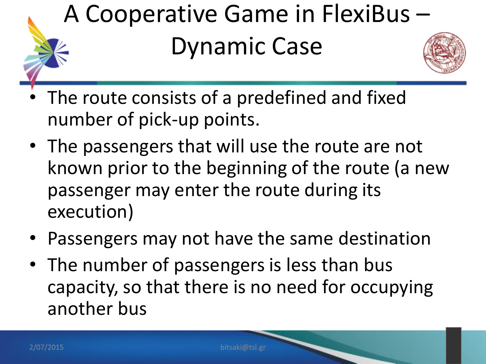

- The route consists of a predefined and fixed number of pick-up points.
- The passengers that will use the route are not known prior to the beginning of the route (a new passenger may enter the route during its execution)
- Passengers may not have the same destination
- The number of passengers is less than bus capacity, so that there is no need for occupying another bus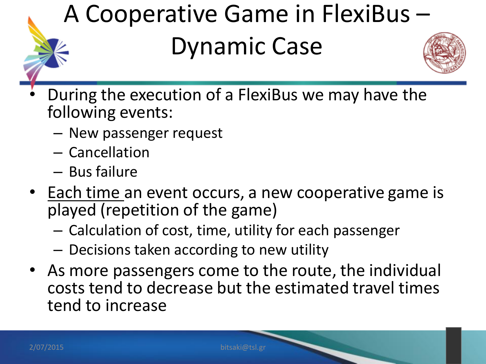#### A Cooperative Game in FlexiBus –

#### Dynamic Case



- During the execution of a FlexiBus we may have the following events:
	- New passenger request
	- Cancellation
	- Bus failure
- Each time an event occurs, a new cooperative game is played (repetition of the game)
	- Calculation of cost, time, utility for each passenger
	- Decisions taken according to new utility
- As more passengers come to the route, the individual costs tend to decrease but the estimated travel times tend to increase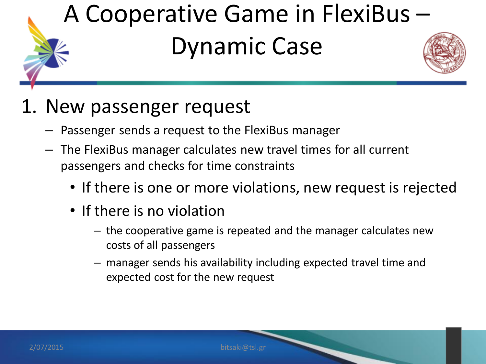

#### 1. New passenger request

- Passenger sends a request to the FlexiBus manager
- The FlexiBus manager calculates new travel times for all current passengers and checks for time constraints
	- If there is one or more violations, new request is rejected
	- If there is no violation
		- the cooperative game is repeated and the manager calculates new costs of all passengers
		- manager sends his availability including expected travel time and expected cost for the new request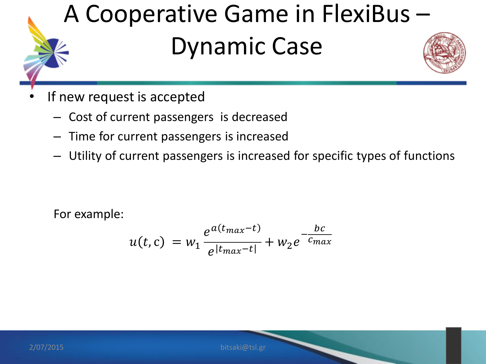

- If new request is accepted
	- Cost of current passengers is decreased
	- Time for current passengers is increased
	- Utility of current passengers is increased for specific types of functions

For example:

$$
u(t,c) = w_1 \frac{e^{a(t_{max}-t)}}{e^{|t_{max}-t|}} + w_2 e^{-\frac{bc}{c_{max}}}
$$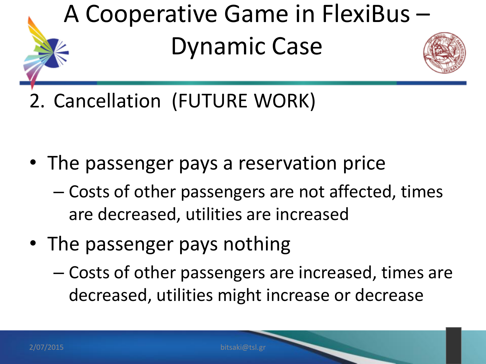

2. Cancellation (FUTURE WORK)

- The passenger pays a reservation price
	- Costs of other passengers are not affected, times are decreased, utilities are increased
- The passenger pays nothing
	- Costs of other passengers are increased, times are decreased, utilities might increase or decrease